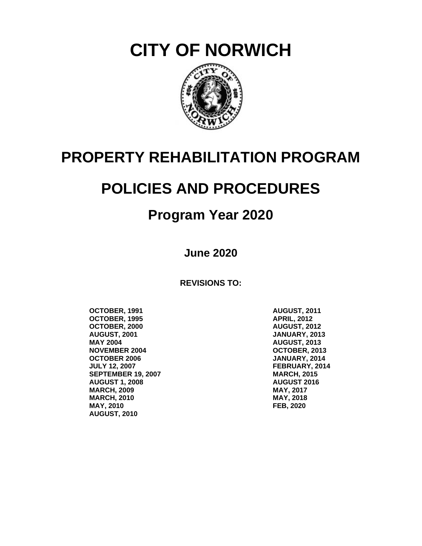**CITY OF NORWICH**



# **PROPERTY REHABILITATION PROGRAM**

# **POLICIES AND PROCEDURES**

# **Program Year 2020**

**June 2020**

**REVISIONS TO:**

**OCTOBER, 1991 OCTOBER, 1995 OCTOBER, 2000 AUGUST, 2001 MAY 2004 NOVEMBER 2004 OCTOBER 2006 JULY 12, 2007 SEPTEMBER 19, 2007 AUGUST 1, 2008 MARCH, 2009 MARCH, 2010 MAY, 2010 AUGUST, 2010**

**AUGUST, 2011 APRIL, 2012 AUGUST, 2012 JANUARY, 2013 AUGUST, 2013 OCTOBER, 2013 JANUARY, 2014 FEBRUARY, 2014 MARCH, 2015 AUGUST 2016 MAY, 2017 MAY, 2018 FEB, 2020**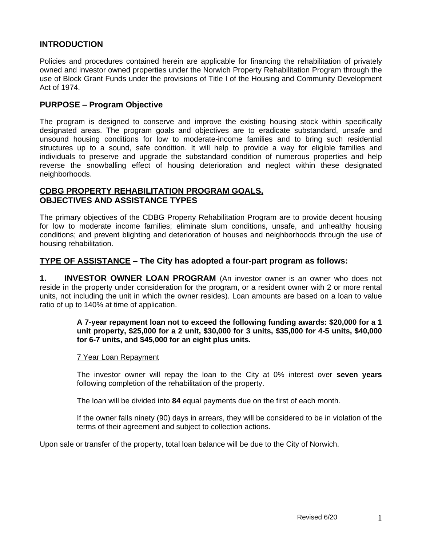# **INTRODUCTION**

Policies and procedures contained herein are applicable for financing the rehabilitation of privately owned and investor owned properties under the Norwich Property Rehabilitation Program through the use of Block Grant Funds under the provisions of Title I of the Housing and Community Development Act of 1974.

# **PURPOSE – Program Objective**

The program is designed to conserve and improve the existing housing stock within specifically designated areas. The program goals and objectives are to eradicate substandard, unsafe and unsound housing conditions for low to moderate-income families and to bring such residential structures up to a sound, safe condition. It will help to provide a way for eligible families and individuals to preserve and upgrade the substandard condition of numerous properties and help reverse the snowballing effect of housing deterioration and neglect within these designated neighborhoods.

# **CDBG PROPERTY REHABILITATION PROGRAM GOALS, OBJECTIVES AND ASSISTANCE TYPES**

The primary objectives of the CDBG Property Rehabilitation Program are to provide decent housing for low to moderate income families; eliminate slum conditions, unsafe, and unhealthy housing conditions; and prevent blighting and deterioration of houses and neighborhoods through the use of housing rehabilitation.

# **TYPE OF ASSISTANCE – The City has adopted a four-part program as follows:**

**1. INVESTOR OWNER LOAN PROGRAM** (An investor owner is an owner who does not reside in the property under consideration for the program, or a resident owner with 2 or more rental units, not including the unit in which the owner resides). Loan amounts are based on a loan to value ratio of up to 140% at time of application.

#### **A 7-year repayment loan not to exceed the following funding awards: \$20,000 for a 1 unit property, \$25,000 for a 2 unit, \$30,000 for 3 units, \$35,000 for 4-5 units, \$40,000 for 6-7 units, and \$45,000 for an eight plus units.**

#### 7 Year Loan Repayment

The investor owner will repay the loan to the City at 0% interest over **seven years** following completion of the rehabilitation of the property.

The loan will be divided into **84** equal payments due on the first of each month.

If the owner falls ninety (90) days in arrears, they will be considered to be in violation of the terms of their agreement and subject to collection actions.

Upon sale or transfer of the property, total loan balance will be due to the City of Norwich.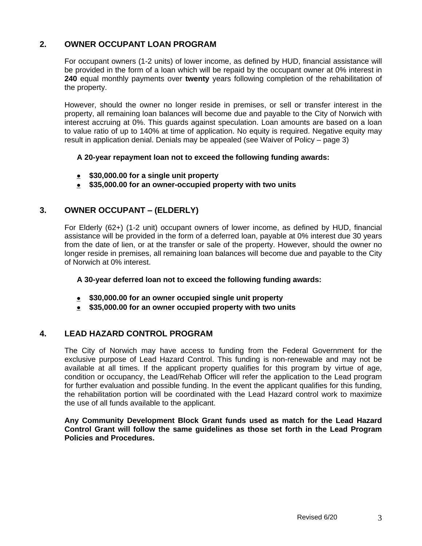# **2. OWNER OCCUPANT LOAN PROGRAM**

For occupant owners (1-2 units) of lower income, as defined by HUD, financial assistance will be provided in the form of a loan which will be repaid by the occupant owner at 0% interest in **240** equal monthly payments over **twenty** years following completion of the rehabilitation of the property.

However, should the owner no longer reside in premises, or sell or transfer interest in the property, all remaining loan balances will become due and payable to the City of Norwich with interest accruing at 0%. This guards against speculation. Loan amounts are based on a loan to value ratio of up to 140% at time of application. No equity is required. Negative equity may result in application denial. Denials may be appealed (see Waiver of Policy – page 3)

#### **A 20-year repayment loan not to exceed the following funding awards:**

- **\$30,000.00 for a single unit property**
- **\$35,000.00 for an owner-occupied property with two units**

# **3. OWNER OCCUPANT – (ELDERLY)**

For Elderly (62+) (1-2 unit) occupant owners of lower income, as defined by HUD, financial assistance will be provided in the form of a deferred loan, payable at 0% interest due 30 years from the date of lien, or at the transfer or sale of the property. However, should the owner no longer reside in premises, all remaining loan balances will become due and payable to the City of Norwich at 0% interest.

#### **A 30-year deferred loan not to exceed the following funding awards:**

- **\$30,000.00 for an owner occupied single unit property**
- **\$35,000.00 for an owner occupied property with two units**

# **4. LEAD HAZARD CONTROL PROGRAM**

The City of Norwich may have access to funding from the Federal Government for the exclusive purpose of Lead Hazard Control. This funding is non-renewable and may not be available at all times. If the applicant property qualifies for this program by virtue of age, condition or occupancy, the Lead/Rehab Officer will refer the application to the Lead program for further evaluation and possible funding. In the event the applicant qualifies for this funding, the rehabilitation portion will be coordinated with the Lead Hazard control work to maximize the use of all funds available to the applicant.

**Any Community Development Block Grant funds used as match for the Lead Hazard Control Grant will follow the same guidelines as those set forth in the Lead Program Policies and Procedures.**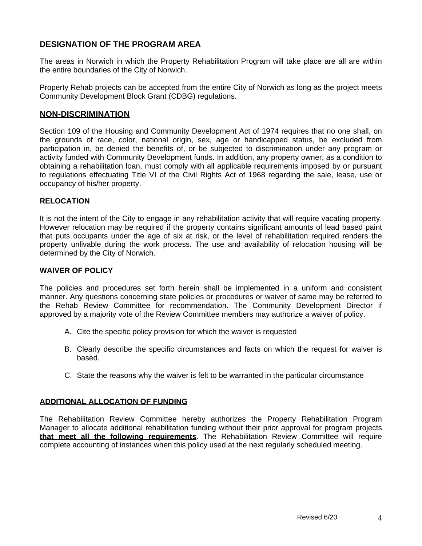# **DESIGNATION OF THE PROGRAM AREA**

The areas in Norwich in which the Property Rehabilitation Program will take place are all are within the entire boundaries of the City of Norwich.

Property Rehab projects can be accepted from the entire City of Norwich as long as the project meets Community Development Block Grant (CDBG) regulations.

#### **NON-DISCRIMINATION**

Section 109 of the Housing and Community Development Act of 1974 requires that no one shall, on the grounds of race, color, national origin, sex, age or handicapped status, be excluded from participation in, be denied the benefits of, or be subjected to discrimination under any program or activity funded with Community Development funds. In addition, any property owner, as a condition to obtaining a rehabilitation loan, must comply with all applicable requirements imposed by or pursuant to regulations effectuating Title VI of the Civil Rights Act of 1968 regarding the sale, lease, use or occupancy of his/her property.

#### **RELOCATION**

It is not the intent of the City to engage in any rehabilitation activity that will require vacating property. However relocation may be required if the property contains significant amounts of lead based paint that puts occupants under the age of six at risk, or the level of rehabilitation required renders the property unlivable during the work process. The use and availability of relocation housing will be determined by the City of Norwich.

#### **WAIVER OF POLICY**

The policies and procedures set forth herein shall be implemented in a uniform and consistent manner. Any questions concerning state policies or procedures or waiver of same may be referred to the Rehab Review Committee for recommendation. The Community Development Director if approved by a majority vote of the Review Committee members may authorize a waiver of policy.

- A. Cite the specific policy provision for which the waiver is requested
- B. Clearly describe the specific circumstances and facts on which the request for waiver is based.
- C. State the reasons why the waiver is felt to be warranted in the particular circumstance

#### **ADDITIONAL ALLOCATION OF FUNDING**

The Rehabilitation Review Committee hereby authorizes the Property Rehabilitation Program Manager to allocate additional rehabilitation funding without their prior approval for program projects **that meet all the following requirements**. The Rehabilitation Review Committee will require complete accounting of instances when this policy used at the next regularly scheduled meeting.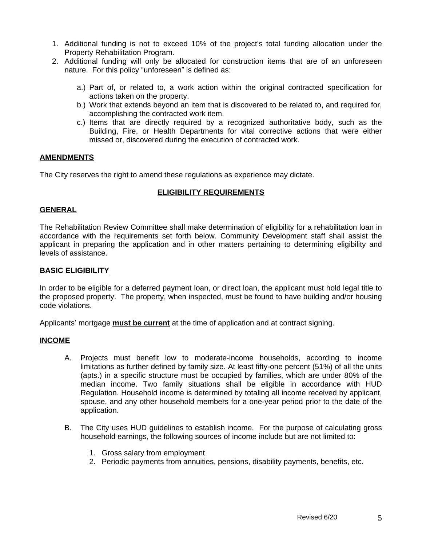- 1. Additional funding is not to exceed 10% of the project's total funding allocation under the Property Rehabilitation Program.
- 2. Additional funding will only be allocated for construction items that are of an unforeseen nature. For this policy "unforeseen" is defined as:
	- a.) Part of, or related to, a work action within the original contracted specification for actions taken on the property.
	- b.) Work that extends beyond an item that is discovered to be related to, and required for, accomplishing the contracted work item.
	- c.) Items that are directly required by a recognized authoritative body, such as the Building, Fire, or Health Departments for vital corrective actions that were either missed or, discovered during the execution of contracted work.

#### **AMENDMENTS**

The City reserves the right to amend these regulations as experience may dictate.

#### **ELIGIBILITY REQUIREMENTS**

#### **GENERAL**

The Rehabilitation Review Committee shall make determination of eligibility for a rehabilitation loan in accordance with the requirements set forth below. Community Development staff shall assist the applicant in preparing the application and in other matters pertaining to determining eligibility and levels of assistance.

#### **BASIC ELIGIBILITY**

In order to be eligible for a deferred payment loan, or direct loan, the applicant must hold legal title to the proposed property. The property, when inspected, must be found to have building and/or housing code violations.

Applicants' mortgage **must be current** at the time of application and at contract signing.

#### **INCOME**

- A. Projects must benefit low to moderate-income households, according to income limitations as further defined by family size. At least fifty-one percent (51%) of all the units (apts.) in a specific structure must be occupied by families, which are under 80% of the median income. Two family situations shall be eligible in accordance with HUD Regulation. Household income is determined by totaling all income received by applicant, spouse, and any other household members for a one-year period prior to the date of the application.
- B. The City uses HUD guidelines to establish income. For the purpose of calculating gross household earnings, the following sources of income include but are not limited to:
	- 1. Gross salary from employment
	- 2. Periodic payments from annuities, pensions, disability payments, benefits, etc.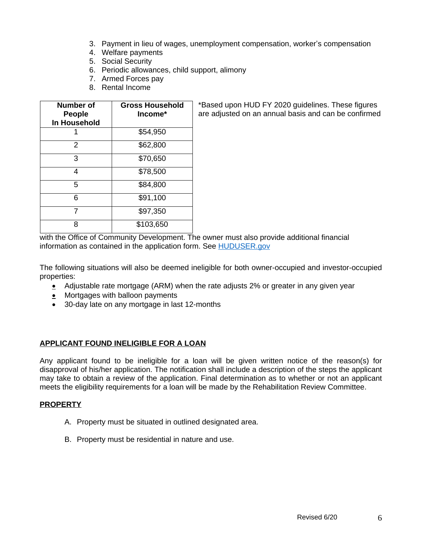- 3. Payment in lieu of wages, unemployment compensation, worker's compensation
- 4. Welfare payments
- 5. Social Security
- 6. Periodic allowances, child support, alimony
- 7. Armed Forces pay
- 8. Rental Income

| Number of<br><b>People</b> | <b>Gross Household</b><br>Income* |  |
|----------------------------|-----------------------------------|--|
| In Household               |                                   |  |
|                            | \$54,950                          |  |
| 2                          | \$62,800                          |  |
| 3                          | \$70,650                          |  |
| 4                          | \$78,500                          |  |
| 5                          | \$84,800                          |  |
| 6                          | \$91,100                          |  |
|                            | \$97,350                          |  |
| ጸ                          | \$103,650                         |  |

\*Based upon HUD FY 2020 guidelines. These figures are adjusted on an annual basis and can be confirmed

with the Office of Community Development. The owner must also provide additional financial information as contained in the application form. See **[HUDUSER.gov](https://www.huduser.gov/portal/datasets/il.html)** 

The following situations will also be deemed ineligible for both owner-occupied and investor-occupied properties:

- Adjustable rate mortgage (ARM) when the rate adjusts 2% or greater in any given year
- Mortgages with balloon payments
- 30-day late on any mortgage in last 12-months

#### **APPLICANT FOUND INELIGIBLE FOR A LOAN**

Any applicant found to be ineligible for a loan will be given written notice of the reason(s) for disapproval of his/her application. The notification shall include a description of the steps the applicant may take to obtain a review of the application. Final determination as to whether or not an applicant meets the eligibility requirements for a loan will be made by the Rehabilitation Review Committee.

#### **PROPERTY**

- A. Property must be situated in outlined designated area.
- B. Property must be residential in nature and use.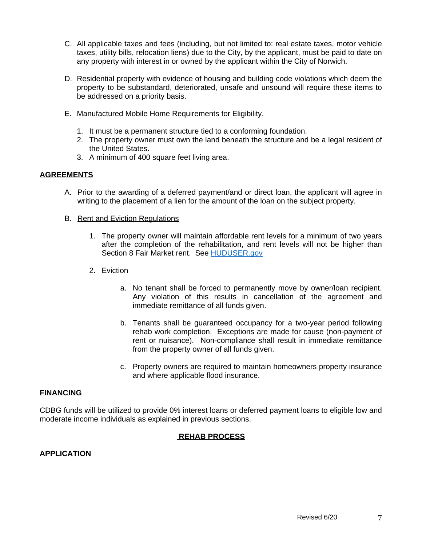- C. All applicable taxes and fees (including, but not limited to: real estate taxes, motor vehicle taxes, utility bills, relocation liens) due to the City, by the applicant, must be paid to date on any property with interest in or owned by the applicant within the City of Norwich.
- D. Residential property with evidence of housing and building code violations which deem the property to be substandard, deteriorated, unsafe and unsound will require these items to be addressed on a priority basis.
- E. Manufactured Mobile Home Requirements for Eligibility.
	- 1. It must be a permanent structure tied to a conforming foundation.
	- 2. The property owner must own the land beneath the structure and be a legal resident of the United States.
	- 3. A minimum of 400 square feet living area.

#### **AGREEMENTS**

- A. Prior to the awarding of a deferred payment/and or direct loan, the applicant will agree in writing to the placement of a lien for the amount of the loan on the subject property.
- B. Rent and Eviction Regulations
	- 1. The property owner will maintain affordable rent levels for a minimum of two years after the completion of the rehabilitation, and rent levels will not be higher than Section 8 Fair Market rent. See [HUDUSER.gov](https://www.huduser.gov/portal/datasets/fmr.html)
	- 2. Eviction
		- a. No tenant shall be forced to permanently move by owner/loan recipient. Any violation of this results in cancellation of the agreement and immediate remittance of all funds given.
		- b. Tenants shall be guaranteed occupancy for a two-year period following rehab work completion. Exceptions are made for cause (non-payment of rent or nuisance). Non-compliance shall result in immediate remittance from the property owner of all funds given.
		- c. Property owners are required to maintain homeowners property insurance and where applicable flood insurance.

#### **FINANCING**

CDBG funds will be utilized to provide 0% interest loans or deferred payment loans to eligible low and moderate income individuals as explained in previous sections.

#### **REHAB PROCESS**

#### **APPLICATION**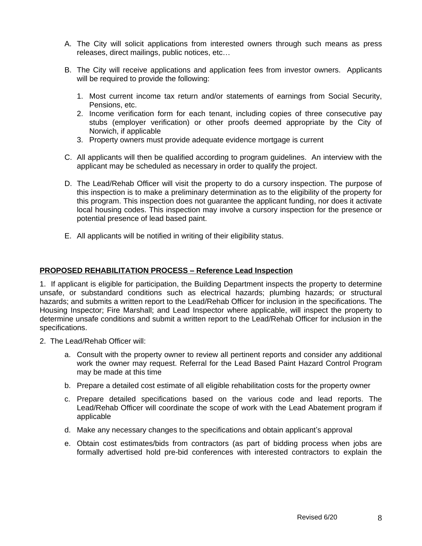- A. The City will solicit applications from interested owners through such means as press releases, direct mailings, public notices, etc…
- B. The City will receive applications and application fees from investor owners. Applicants will be required to provide the following:
	- 1. Most current income tax return and/or statements of earnings from Social Security, Pensions, etc.
	- 2. Income verification form for each tenant, including copies of three consecutive pay stubs (employer verification) or other proofs deemed appropriate by the City of Norwich, if applicable
	- 3. Property owners must provide adequate evidence mortgage is current
- C. All applicants will then be qualified according to program guidelines. An interview with the applicant may be scheduled as necessary in order to qualify the project.
- D. The Lead/Rehab Officer will visit the property to do a cursory inspection. The purpose of this inspection is to make a preliminary determination as to the eligibility of the property for this program. This inspection does not guarantee the applicant funding, nor does it activate local housing codes. This inspection may involve a cursory inspection for the presence or potential presence of lead based paint.
- E. All applicants will be notified in writing of their eligibility status.

#### **PROPOSED REHABILITATION PROCESS – Reference Lead Inspection**

1. If applicant is eligible for participation, the Building Department inspects the property to determine unsafe, or substandard conditions such as electrical hazards; plumbing hazards; or structural hazards; and submits a written report to the Lead/Rehab Officer for inclusion in the specifications. The Housing Inspector; Fire Marshall; and Lead Inspector where applicable, will inspect the property to determine unsafe conditions and submit a written report to the Lead/Rehab Officer for inclusion in the specifications.

- 2. The Lead/Rehab Officer will:
	- a. Consult with the property owner to review all pertinent reports and consider any additional work the owner may request. Referral for the Lead Based Paint Hazard Control Program may be made at this time
	- b. Prepare a detailed cost estimate of all eligible rehabilitation costs for the property owner
	- c. Prepare detailed specifications based on the various code and lead reports. The Lead/Rehab Officer will coordinate the scope of work with the Lead Abatement program if applicable
	- d. Make any necessary changes to the specifications and obtain applicant's approval
	- e. Obtain cost estimates/bids from contractors (as part of bidding process when jobs are formally advertised hold pre-bid conferences with interested contractors to explain the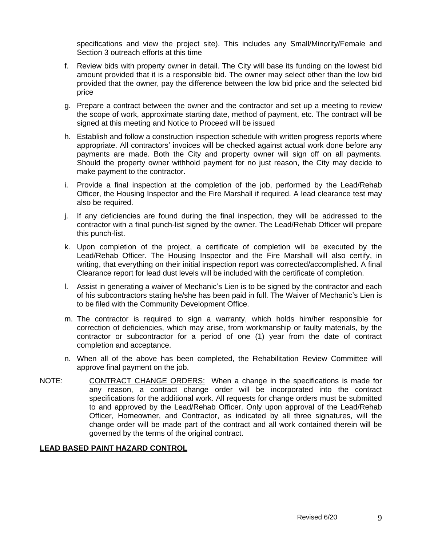specifications and view the project site). This includes any Small/Minority/Female and Section 3 outreach efforts at this time

- f. Review bids with property owner in detail. The City will base its funding on the lowest bid amount provided that it is a responsible bid. The owner may select other than the low bid provided that the owner, pay the difference between the low bid price and the selected bid price
- g. Prepare a contract between the owner and the contractor and set up a meeting to review the scope of work, approximate starting date, method of payment, etc. The contract will be signed at this meeting and Notice to Proceed will be issued
- h. Establish and follow a construction inspection schedule with written progress reports where appropriate. All contractors' invoices will be checked against actual work done before any payments are made. Both the City and property owner will sign off on all payments. Should the property owner withhold payment for no just reason, the City may decide to make payment to the contractor.
- i. Provide a final inspection at the completion of the job, performed by the Lead/Rehab Officer, the Housing Inspector and the Fire Marshall if required. A lead clearance test may also be required.
- j. If any deficiencies are found during the final inspection, they will be addressed to the contractor with a final punch-list signed by the owner. The Lead/Rehab Officer will prepare this punch-list.
- k. Upon completion of the project, a certificate of completion will be executed by the Lead/Rehab Officer. The Housing Inspector and the Fire Marshall will also certify, in writing, that everything on their initial inspection report was corrected/accomplished. A final Clearance report for lead dust levels will be included with the certificate of completion.
- l. Assist in generating a waiver of Mechanic's Lien is to be signed by the contractor and each of his subcontractors stating he/she has been paid in full. The Waiver of Mechanic's Lien is to be filed with the Community Development Office.
- m. The contractor is required to sign a warranty, which holds him/her responsible for correction of deficiencies, which may arise, from workmanship or faulty materials, by the contractor or subcontractor for a period of one (1) year from the date of contract completion and acceptance.
- n. When all of the above has been completed, the Rehabilitation Review Committee will approve final payment on the job.
- NOTE: CONTRACT CHANGE ORDERS: When a change in the specifications is made for any reason, a contract change order will be incorporated into the contract specifications for the additional work. All requests for change orders must be submitted to and approved by the Lead/Rehab Officer. Only upon approval of the Lead/Rehab Officer, Homeowner, and Contractor, as indicated by all three signatures, will the change order will be made part of the contract and all work contained therein will be governed by the terms of the original contract.

#### **LEAD BASED PAINT HAZARD CONTROL**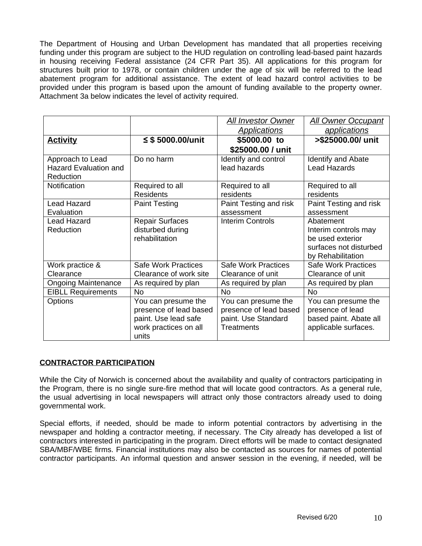The Department of Housing and Urban Development has mandated that all properties receiving funding under this program are subject to the HUD regulation on controlling lead-based paint hazards in housing receiving Federal assistance (24 CFR Part 35). All applications for this program for structures built prior to 1978, or contain children under the age of six will be referred to the lead abatement program for additional assistance. The extent of lead hazard control activities to be provided under this program is based upon the amount of funding available to the property owner. Attachment 3a below indicates the level of activity required.

|                              |                            | <b>All Investor Owner</b>  | <b>All Owner Occupant</b>  |
|------------------------------|----------------------------|----------------------------|----------------------------|
|                              |                            | <b>Applications</b>        | applications               |
| <b>Activity</b>              | ≤ \$ 5000.00/unit          | \$5000.00 to               | >\$25000.00/ unit          |
|                              |                            | \$25000.00 / unit          |                            |
| Approach to Lead             | Do no harm                 | Identify and control       | <b>Identify and Abate</b>  |
| <b>Hazard Evaluation and</b> |                            | lead hazards               | <b>Lead Hazards</b>        |
| Reduction                    |                            |                            |                            |
| Notification                 | Required to all            | Required to all            | Required to all            |
|                              | <b>Residents</b>           | residents                  | residents                  |
| <b>Lead Hazard</b>           | <b>Paint Testing</b>       | Paint Testing and risk     | Paint Testing and risk     |
| Evaluation                   |                            | assessment                 | assessment                 |
| <b>Lead Hazard</b>           | <b>Repair Surfaces</b>     | <b>Interim Controls</b>    | Abatement                  |
| Reduction                    | disturbed during           |                            | Interim controls may       |
|                              | rehabilitation             |                            | be used exterior           |
|                              |                            |                            | surfaces not disturbed     |
|                              |                            |                            | by Rehabilitation          |
| Work practice &              | <b>Safe Work Practices</b> | <b>Safe Work Practices</b> | <b>Safe Work Practices</b> |
| Clearance                    | Clearance of work site     | Clearance of unit          | Clearance of unit          |
| <b>Ongoing Maintenance</b>   | As required by plan        | As required by plan        | As required by plan        |
| <b>EIBLL Requirements</b>    | <b>No</b>                  | <b>No</b>                  | <b>No</b>                  |
| <b>Options</b>               | You can presume the        | You can presume the        | You can presume the        |
|                              | presence of lead based     | presence of lead based     | presence of lead           |
|                              | paint. Use lead safe       | paint. Use Standard        | based paint. Abate all     |
|                              | work practices on all      | <b>Treatments</b>          | applicable surfaces.       |
|                              | units                      |                            |                            |

# **CONTRACTOR PARTICIPATION**

While the City of Norwich is concerned about the availability and quality of contractors participating in the Program, there is no single sure-fire method that will locate good contractors. As a general rule, the usual advertising in local newspapers will attract only those contractors already used to doing governmental work.

Special efforts, if needed, should be made to inform potential contractors by advertising in the newspaper and holding a contractor meeting, if necessary. The City already has developed a list of contractors interested in participating in the program. Direct efforts will be made to contact designated SBA/MBF/WBE firms. Financial institutions may also be contacted as sources for names of potential contractor participants. An informal question and answer session in the evening, if needed, will be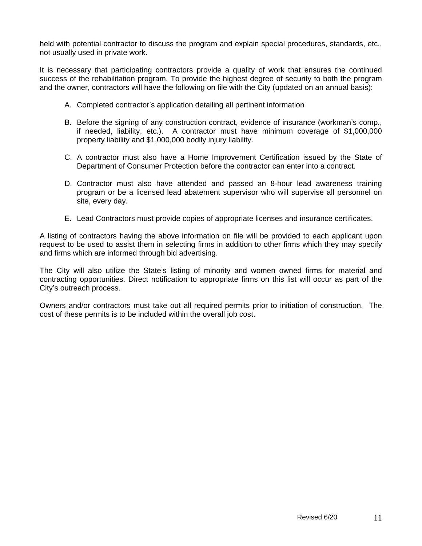held with potential contractor to discuss the program and explain special procedures, standards, etc., not usually used in private work.

It is necessary that participating contractors provide a quality of work that ensures the continued success of the rehabilitation program. To provide the highest degree of security to both the program and the owner, contractors will have the following on file with the City (updated on an annual basis):

- A. Completed contractor's application detailing all pertinent information
- B. Before the signing of any construction contract, evidence of insurance (workman's comp., if needed, liability, etc.). A contractor must have minimum coverage of \$1,000,000 property liability and \$1,000,000 bodily injury liability.
- C. A contractor must also have a Home Improvement Certification issued by the State of Department of Consumer Protection before the contractor can enter into a contract.
- D. Contractor must also have attended and passed an 8-hour lead awareness training program or be a licensed lead abatement supervisor who will supervise all personnel on site, every day.
- E. Lead Contractors must provide copies of appropriate licenses and insurance certificates.

A listing of contractors having the above information on file will be provided to each applicant upon request to be used to assist them in selecting firms in addition to other firms which they may specify and firms which are informed through bid advertising.

The City will also utilize the State's listing of minority and women owned firms for material and contracting opportunities. Direct notification to appropriate firms on this list will occur as part of the City's outreach process.

Owners and/or contractors must take out all required permits prior to initiation of construction. The cost of these permits is to be included within the overall job cost.